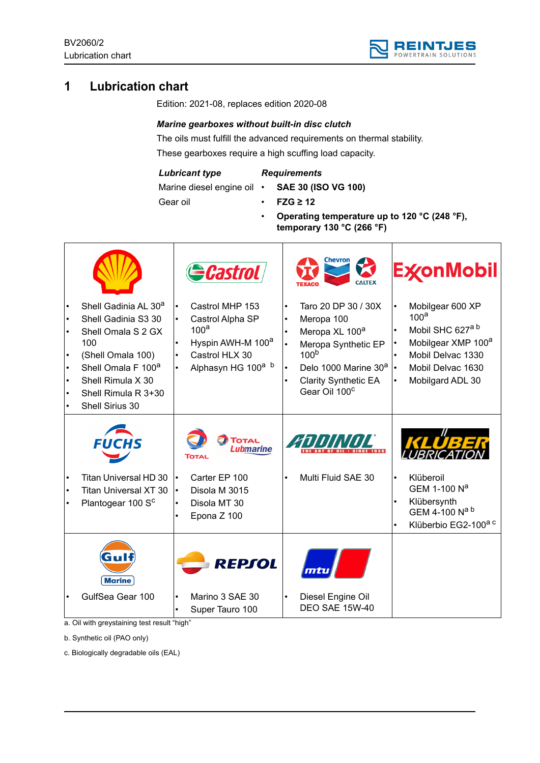

# **1 Lubrication chart**

Edition: 2021-08, replaces edition 2020-08

## *Marine gearboxes without built-in disc clutch*

The oils must fulfill the advanced requirements on thermal stability. These gearboxes require a high scuffing load capacity.

#### *Lubricant type*

# *Requirements*

Marine diesel engine oil •

- **SAE 30 (ISO VG 100)**
- Gear oil
- **FZG ≥ 12**
- **Operating temperature up to 120 °C (248 °F), temporary 130 °C (266 °F)**

|                                                                                                                                                                                                            |                                     | <b>Gastrol</b>                                                                                                                               |                                     | Chevron<br>K                                                                                                                                                                                               |           | <b>ExconMobil</b>                                                                                                                                                    |
|------------------------------------------------------------------------------------------------------------------------------------------------------------------------------------------------------------|-------------------------------------|----------------------------------------------------------------------------------------------------------------------------------------------|-------------------------------------|------------------------------------------------------------------------------------------------------------------------------------------------------------------------------------------------------------|-----------|----------------------------------------------------------------------------------------------------------------------------------------------------------------------|
| Shell Gadinia AL 30 <sup>a</sup><br>Shell Gadinia S3 30<br>Shell Omala S 2 GX<br>100<br>(Shell Omala 100)<br>Shell Omala F 100 <sup>a</sup><br>Shell Rimula X 30<br>Shell Rimula R 3+30<br>Shell Sirius 30 | $\bullet$<br>$\bullet$              | Castrol MHP 153<br>Castrol Alpha SP<br>100 <sup>a</sup><br>Hyspin AWH-M 100 <sup>a</sup><br>Castrol HLX 30<br>Alphasyn HG 100 <sup>a b</sup> | $\bullet$<br>$\bullet$<br>$\bullet$ | Taro 20 DP 30 / 30X<br>Meropa 100<br>Meropa XL 100 <sup>a</sup><br>Meropa Synthetic EP<br>100 <sup>b</sup><br>Delo 1000 Marine 30 <sup>a</sup><br><b>Clarity Synthetic EA</b><br>Gear Oil 100 <sup>c</sup> |           | Mobilgear 600 XP<br>100 <sup>a</sup><br>Mobil SHC 627 <sup>a b</sup><br>Mobilgear XMP 100 <sup>a</sup><br>Mobil Delvac 1330<br>Mobil Delvac 1630<br>Mobilgard ADL 30 |
| Titan Universal HD 30<br><b>Titan Universal XT 30</b><br>Plantogear 100 S <sup>c</sup>                                                                                                                     | $\bullet$<br>$\bullet$<br>$\bullet$ | <b>TOTAL</b><br><b>Lubmarine</b><br>Total<br>Carter EP 100<br>Disola M 3015<br>Disola MT 30<br>Epona Z 100                                   |                                     | WWL<br>Multi Fluid SAE 30                                                                                                                                                                                  | $\bullet$ | <b>IRRIC</b><br>Klüberoil<br>GEM 1-100 N <sup>a</sup><br>Klübersynth<br>GEM 4-100 Na b<br>Klüberbio EG2-100 <sup>a c</sup>                                           |
| Gull<br><b>Marine</b><br>GulfSea Gear 100                                                                                                                                                                  | $\bullet$                           | REPSOL<br>Marino 3 SAE 30<br>Super Tauro 100                                                                                                 | $\bullet$                           | mtu<br>Diesel Engine Oil<br><b>DEO SAE 15W-40</b>                                                                                                                                                          |           |                                                                                                                                                                      |

a. Oil with greystaining test result "high"

b. Synthetic oil (PAO only)

c. Biologically degradable oils (EAL)